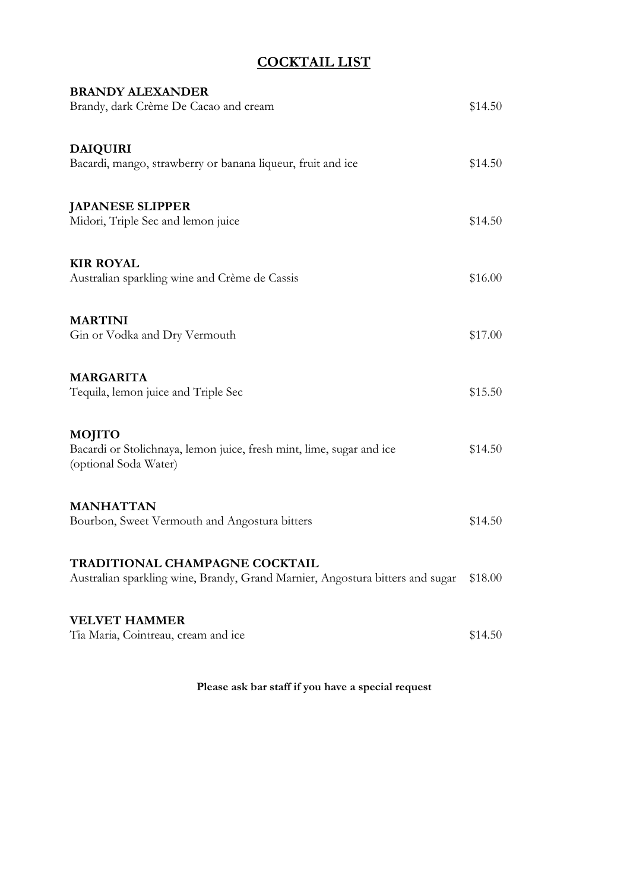# COCKTAIL LIST

| <b>BRANDY ALEXANDER</b><br>Brandy, dark Crème De Cacao and cream                                                | \$14.50 |
|-----------------------------------------------------------------------------------------------------------------|---------|
| <b>DAIQUIRI</b><br>Bacardi, mango, strawberry or banana liqueur, fruit and ice                                  | \$14.50 |
| <b>JAPANESE SLIPPER</b><br>Midori, Triple Sec and lemon juice                                                   | \$14.50 |
| <b>KIR ROYAL</b><br>Australian sparkling wine and Crème de Cassis                                               | \$16.00 |
| <b>MARTINI</b><br>Gin or Vodka and Dry Vermouth                                                                 | \$17.00 |
| <b>MARGARITA</b><br>Tequila, lemon juice and Triple Sec                                                         | \$15.50 |
| <b>MOJITO</b><br>Bacardi or Stolichnaya, lemon juice, fresh mint, lime, sugar and ice<br>(optional Soda Water)  | \$14.50 |
| <b>MANHATTAN</b><br>Bourbon, Sweet Vermouth and Angostura bitters                                               | \$14.50 |
| TRADITIONAL CHAMPAGNE COCKTAIL<br>Australian sparkling wine, Brandy, Grand Marnier, Angostura bitters and sugar | \$18.00 |
| <b>VELVET HAMMER</b><br>Tia Maria, Cointreau, cream and ice                                                     | \$14.50 |

Please ask bar staff if you have a special request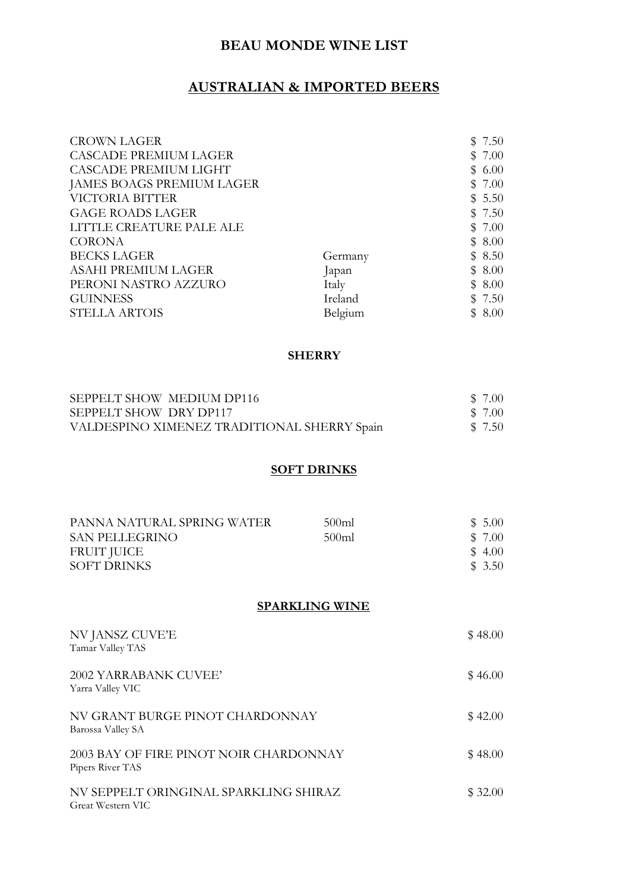## BEAU MONDE WINE LIST

### AUSTRALIAN & IMPORTED BEERS

| <b>CROWN LAGER</b>           |         | \$7.50    |  |
|------------------------------|---------|-----------|--|
| <b>CASCADE PREMIUM LAGER</b> |         | \$7.00    |  |
| CASCADE PREMIUM LIGHT        |         | \$6.00    |  |
| JAMES BOAGS PREMIUM LAGER    |         | \$7.00    |  |
| VICTORIA BITTER              |         | \$5.50    |  |
| <b>GAGE ROADS LAGER</b>      |         | \$7.50    |  |
| LITTLE CREATURE PALE ALE     |         | \$7.00    |  |
| <b>CORONA</b>                |         | \$8.00    |  |
| <b>BECKS LAGER</b>           | Germany | \$8.50    |  |
| ASAHI PREMIUM LAGER          | Japan   | \$8.00    |  |
| PERONI NASTRO AZZURO         | Italy   | \$8.00    |  |
| <b>GUINNESS</b>              | Ireland | \$7.50    |  |
| <b>STELLA ARTOIS</b>         | Belgium | 8.00<br>S |  |

#### SHERRY

| SEPPELT SHOW MEDIUM DP116                   | \$ 7.00 |
|---------------------------------------------|---------|
| SEPPELT SHOW DRY DP117                      | \$ 7.00 |
| VALDESPINO XIMENEZ TRADITIONAL SHERRY Spain | \$7.50  |

## **SOFT DRINKS**

| PANNA NATURAL SPRING WATER | 500ml | \$5.00  |
|----------------------------|-------|---------|
| <b>SAN PELLEGRINO</b>      | 500ml | \$ 7.00 |
| FRUIT JUICE                |       | \$ 4.00 |
| <b>SOFT DRINKS</b>         |       | \$ 3.50 |

#### SPARKLING WINE

| NV JANSZ CUVE'E<br>Tamar Valley TAS                        | \$48.00 |
|------------------------------------------------------------|---------|
| 2002 YARRABANK CUVEE'<br>Yarra Valley VIC                  | \$46.00 |
| NV GRANT BURGE PINOT CHARDONNAY<br>Barossa Valley SA       | \$42.00 |
| 2003 BAY OF FIRE PINOT NOIR CHARDONNAY<br>Pipers River TAS | \$48.00 |
| NV SEPPELT ORINGINAL SPARKLING SHIRAZ<br>Great Western VIC | \$32.00 |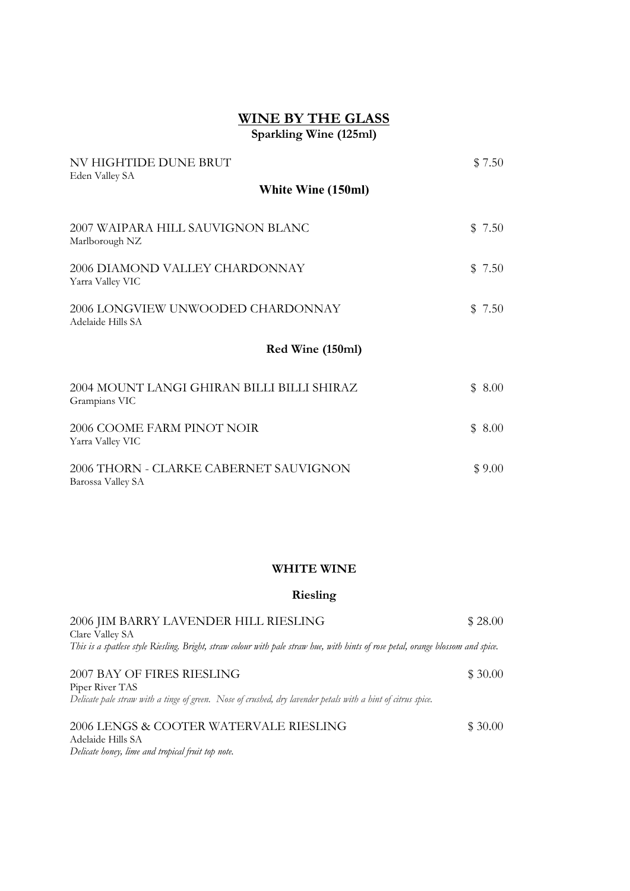### WINE BY THE GLASS Sparkling Wine (125ml)

| NV HIGHTIDE DUNE BRUT<br>Eden Valley SA                     |              | \$7.50 |
|-------------------------------------------------------------|--------------|--------|
| White Wine (150ml)                                          |              |        |
| 2007 WAIPARA HILL SAUVIGNON BLANC<br>Marlborough NZ         |              | \$7.50 |
| 2006 DIAMOND VALLEY CHARDONNAY<br>Yarra Valley VIC          | $\mathbb{S}$ | 7.50   |
| 2006 LONGVIEW UNWOODED CHARDONNAY<br>Adelaide Hills SA      | $\mathbb{S}$ | 7.50   |
| Red Wine (150ml)                                            |              |        |
| 2004 MOUNT LANGI GHIRAN BILLI BILLI SHIRAZ<br>Grampians VIC |              | \$8.00 |
| 2006 COOME FARM PINOT NOIR<br>Yarra Valley VIC              | $\mathbb{S}$ | 8.00   |
| 2006 THORN - CLARKE CABERNET SAUVIGNON<br>Barossa Valley SA |              | \$9.00 |

#### WHITE WINE

#### Riesling

| 2006 JIM BARRY LAVENDER HILL RIESLING                                                                                            | \$28.00  |
|----------------------------------------------------------------------------------------------------------------------------------|----------|
| Clare Valley SA                                                                                                                  |          |
| This is a spatlese style Riesling. Bright, straw colour with pale straw hue, with hints of rose petal, orange blossom and spice. |          |
|                                                                                                                                  |          |
| 2007 BAY OF FIRES RIESLING                                                                                                       | \$30.00  |
| Piper River TAS                                                                                                                  |          |
| Delicate pale straw with a tinge of green. Nose of crushed, dry lavender petals with a hint of citrus spice.                     |          |
|                                                                                                                                  |          |
| 2006 LENGS & COOTER WATERVALE RIESLING                                                                                           | \$ 30.00 |
| Adelaide Hills SA                                                                                                                |          |
| Delicate honey, lime and tropical fruit top note.                                                                                |          |
|                                                                                                                                  |          |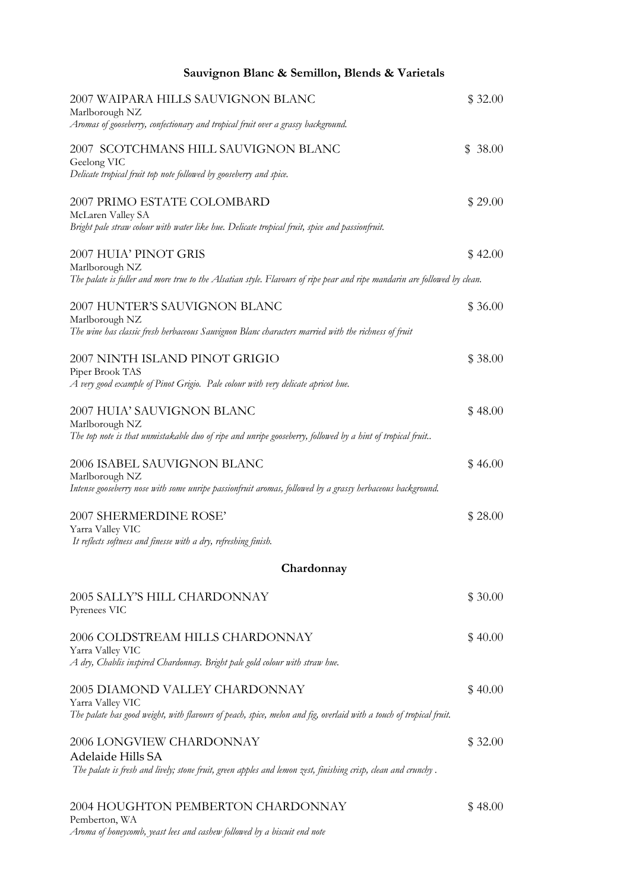| Sauvignon Blanc & Semillon, Blends & Varietals                                                                                                             |         |
|------------------------------------------------------------------------------------------------------------------------------------------------------------|---------|
| 2007 WAIPARA HILLS SAUVIGNON BLANC<br>Marlborough NZ<br>Aromas of gooseberry, confectionary and tropical fruit over a grassy background.                   | \$32.00 |
| 2007 SCOTCHMANS HILL SAUVIGNON BLANC                                                                                                                       | \$38.00 |
| Geelong VIC<br>Delicate tropical fruit top note followed by gooseberry and spice.                                                                          |         |
| 2007 PRIMO ESTATE COLOMBARD<br>McLaren Valley SA<br>Bright pale straw colour with water like hue. Delicate tropical fruit, spice and passionfruit.         | \$29.00 |
| 2007 HUIA' PINOT GRIS<br>Marlborough NZ                                                                                                                    | \$42.00 |
| The palate is fuller and more true to the Alsatian style. Flavours of ripe pear and ripe mandarin are followed by clean.                                   |         |
| 2007 HUNTER'S SAUVIGNON BLANC<br>Marlborough NZ                                                                                                            | \$36.00 |
| The wine has classic fresh herbaceous Sauvignon Blanc characters married with the richness of fruit                                                        |         |
| 2007 NINTH ISLAND PINOT GRIGIO<br>Piper Brook TAS                                                                                                          | \$38.00 |
| A very good example of Pinot Grigio. Pale colour with very delicate apricot hue.                                                                           |         |
| 2007 HUIA' SAUVIGNON BLANC<br>Marlborough NZ                                                                                                               | \$48.00 |
| The top note is that unmistakable duo of ripe and unripe gooseberry, followed by a hint of tropical fruit                                                  |         |
| 2006 ISABEL SAUVIGNON BLANC<br>Marlborough NZ<br>Intense gooseberry nose with some unripe passionfruit aromas, followed by a grassy herbaceous background. | \$46.00 |
| 2007 SHERMERDINE ROSE'                                                                                                                                     | \$28.00 |
| Yarra Valley VIC<br>It reflects softness and finesse with a dry, refreshing finish.                                                                        |         |
| Chardonnay                                                                                                                                                 |         |
| 2005 SALLY'S HILL CHARDONNAY<br>Pyrenees VIC                                                                                                               | \$30.00 |
| 2006 COLDSTREAM HILLS CHARDONNAY<br>Yarra Valley VIC                                                                                                       | \$40.00 |
| A dry, Chablis inspired Chardonnay. Bright pale gold colour with straw hue.                                                                                |         |
| 2005 DIAMOND VALLEY CHARDONNAY<br>Yarra Valley VIC                                                                                                         | \$40.00 |
| The palate has good weight, with flavours of peach, spice, melon and fig, overlaid with a touch of tropical fruit.                                         |         |
| 2006 LONGVIEW CHARDONNAY<br>Adelaide Hills SA                                                                                                              | \$32.00 |
| The palate is fresh and lively; stone fruit, green apples and lemon zest, finishing crisp, clean and crunchy.                                              |         |
| 2004 HOUGHTON PEMBERTON CHARDONNAY<br>Pemberton, WA                                                                                                        | \$48.00 |

Aroma of honeycomb, yeast lees and cashew followed by a biscuit end note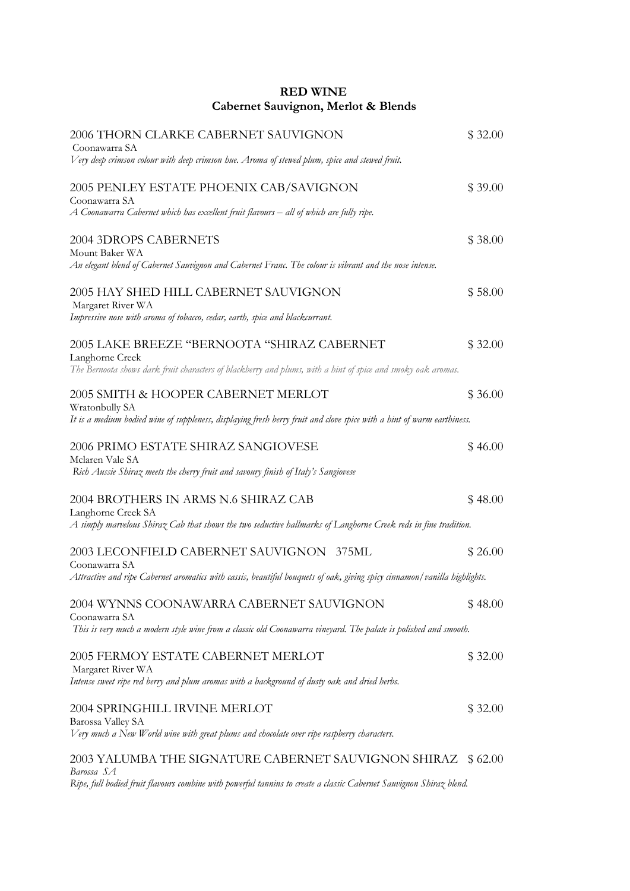### RED WINE Cabernet Sauvignon, Merlot & Blends

| 2006 THORN CLARKE CABERNET SAUVIGNON<br>Coonawarra SA<br>Very deep crimson colour with deep crimson hue. Aroma of stewed plum, spice and stewed fruit.                                            | \$32.00 |
|---------------------------------------------------------------------------------------------------------------------------------------------------------------------------------------------------|---------|
| 2005 PENLEY ESTATE PHOENIX CAB/SAVIGNON<br>Coonawarra SA<br>$\overline{A}$ Coonawarra Cabernet which has excellent fruit flavours $-$ all of which are fully ripe.                                | \$39.00 |
| 2004 3DROPS CABERNETS<br>Mount Baker WA<br>An elegant blend of Cabernet Sauvignon and Cabernet Franc. The colour is vibrant and the nose intense.                                                 | \$38.00 |
| 2005 HAY SHED HILL CABERNET SAUVIGNON<br>Margaret River WA<br>Impressive nose with aroma of tobacco, cedar, earth, spice and blackcurrant.                                                        | \$58.00 |
| 2005 LAKE BREEZE "BERNOOTA "SHIRAZ CABERNET<br>Langhorne Creek<br>The Bernoota shows dark fruit characters of blackberry and plums, with a hint of spice and smoky oak aromas.                    | \$32.00 |
| 2005 SMITH & HOOPER CABERNET MERLOT<br>Wratonbully SA<br>It is a medium bodied wine of suppleness, displaying fresh berry fruit and clove spice with a hint of warm earthiness.                   | \$36.00 |
| 2006 PRIMO ESTATE SHIRAZ SANGIOVESE<br>Mclaren Vale SA<br>Rich Aussie Shiraz meets the cherry fruit and savoury finish of Italy's Sangiovese                                                      | \$46.00 |
| 2004 BROTHERS IN ARMS N.6 SHIRAZ CAB<br>Langhorne Creek SA<br>A simply marvelous Shiraz Cab that shows the two seductive hallmarks of Langhorne Creek reds in fine tradition.                     | \$48.00 |
| 2003 LECONFIELD CABERNET SAUVIGNON 375ML<br>Coonawarra SA<br>Attractive and ripe Cabernet aromatics with cassis, beautiful bouquets of oak, giving spicy cinnamon/vanilla highlights.             | \$26.00 |
| 2004 WYNNS COONAWARRA CABERNET SAUVIGNON<br>Coonawarra SA<br>This is very much a modern style wine from a classic old Coonawarra vineyard. The palate is polished and smooth.                     | \$48.00 |
| 2005 FERMOY ESTATE CABERNET MERLOT<br>Margaret River WA<br>Intense sweet ripe red berry and plum aromas with a background of dusty oak and dried herbs.                                           | \$32.00 |
| 2004 SPRINGHILL IRVINE MERLOT<br><b>Barossa Valley SA</b><br>Very much a New World wine with great plums and chocolate over ripe raspberry characters.                                            | \$32.00 |
| 2003 YALUMBA THE SIGNATURE CABERNET SAUVIGNON SHIRAZ \$62.00<br>Barossa SA<br>Ripe, full bodied fruit flavours combine with powerful tannins to create a classic Cabernet Sauvignon Shiraz blend. |         |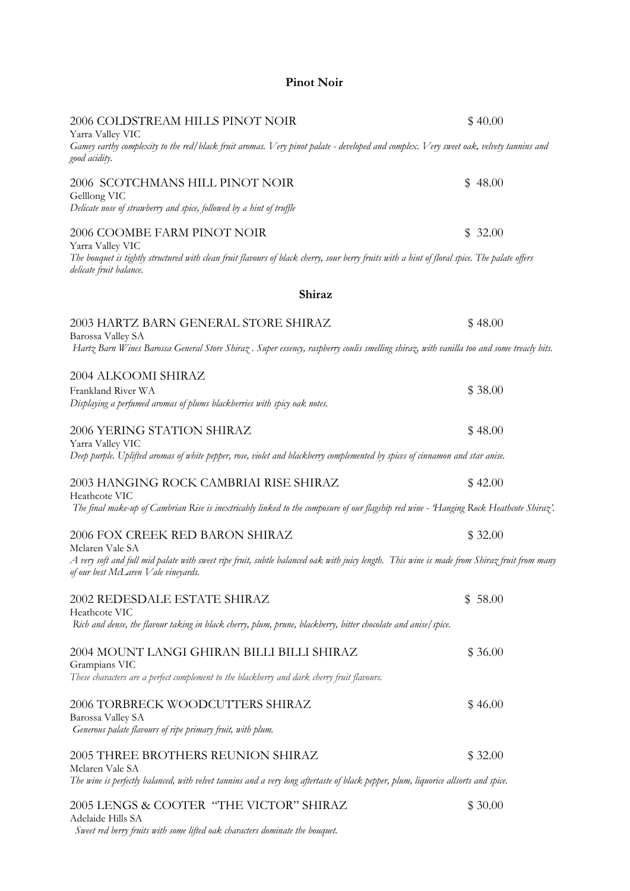#### Pinot Noir

| 2006 COLDSTREAM HILLS PINOT NOIR<br>Yarra Valley VIC                                                                                                                                                  | \$40.00     |
|-------------------------------------------------------------------------------------------------------------------------------------------------------------------------------------------------------|-------------|
| Gamey earthy complexity to the red/black fruit aromas. Very pinot palate - developed and complex. Very sweet oak, velvety tannins and<br>good acidity.                                                |             |
| 2006 SCOTCHMANS HILL PINOT NOIR                                                                                                                                                                       | 48.00<br>\$ |
| Gelllong VIC<br>Delicate nose of strawberry and spice, followed by a hint of truffle                                                                                                                  |             |
| 2006 COOMBE FARM PINOT NOIR                                                                                                                                                                           | 32.00<br>\$ |
| Yarra Valley VIC<br>The bouquet is tightly structured with clean fruit flavours of black cherry, sour berry fruits with a hint of floral spice. The palate offers<br>delicate fruit balance.          |             |
| Shiraz                                                                                                                                                                                                |             |
| 2003 HARTZ BARN GENERAL STORE SHIRAZ                                                                                                                                                                  | \$48.00     |
| Barossa Valley SA<br>Hartz Barn Wines Barossa General Store Shiraz. Super essency, raspberry coulis smelling shiraz, with vanilla too and some treacly bits.                                          |             |
| 2004 ALKOOMI SHIRAZ                                                                                                                                                                                   |             |
| Frankland River WA<br>Displaying a perfumed aromas of plums blackberries with spicy oak notes.                                                                                                        | \$38.00     |
| 2006 YERING STATION SHIRAZ                                                                                                                                                                            | \$48.00     |
| Yarra Valley VIC<br>Deep purple. Uplifted aromas of white pepper, rose, violet and blackberry complemented by spices of cinnamon and star anise.                                                      |             |
| 2003 HANGING ROCK CAMBRIAI RISE SHIRAZ                                                                                                                                                                | \$42.00     |
| Heathcote VIC<br>The final make-up of Cambrian Rise is inextricably linked to the composure of our flagship red wine - Hanging Rock Heathcote Shiraz'.                                                |             |
| 2006 FOX CREEK RED BARON SHIRAZ                                                                                                                                                                       | \$32.00     |
| Mclaren Vale SA<br>A very soft and full mid palate with sweet ripe fruit, subtle balanced oak with juicy length. This wine is made from Shiraz fruit from many<br>of our best McLaren Vale vineyards. |             |
| 2002 REDESDALE ESTATE SHIRAZ                                                                                                                                                                          | \$58.00     |
| Heathcote VIC<br>Rich and dense, the flavour taking in black cherry, plum, prune, blackberry, bitter chocolate and anise/spice.                                                                       |             |
| 2004 MOUNT LANGI GHIRAN BILLI BILLI SHIRAZ                                                                                                                                                            | \$36.00     |
| Grampians VIC<br>These characters are a perfect complement to the blackberry and dark cherry fruit flavours.                                                                                          |             |
| 2006 TORBRECK WOODCUTTERS SHIRAZ                                                                                                                                                                      | \$46.00     |
| Barossa Valley SA<br>Generous palate flavours of ripe primary fruit, with plum.                                                                                                                       |             |
| 2005 THREE BROTHERS REUNION SHIRAZ                                                                                                                                                                    | \$32.00     |
| Mclaren Vale SA<br>The wine is perfectly balanced, with velvet tannins and a very long aftertaste of black pepper, plum, liquorice allsorts and spice.                                                |             |
| 2005 LENGS & COOTER "THE VICTOR" SHIRAZ<br>Adelaide Hills SA                                                                                                                                          | \$30.00     |

Sweet red berry fruits with some lifted oak characters dominate the bouquet.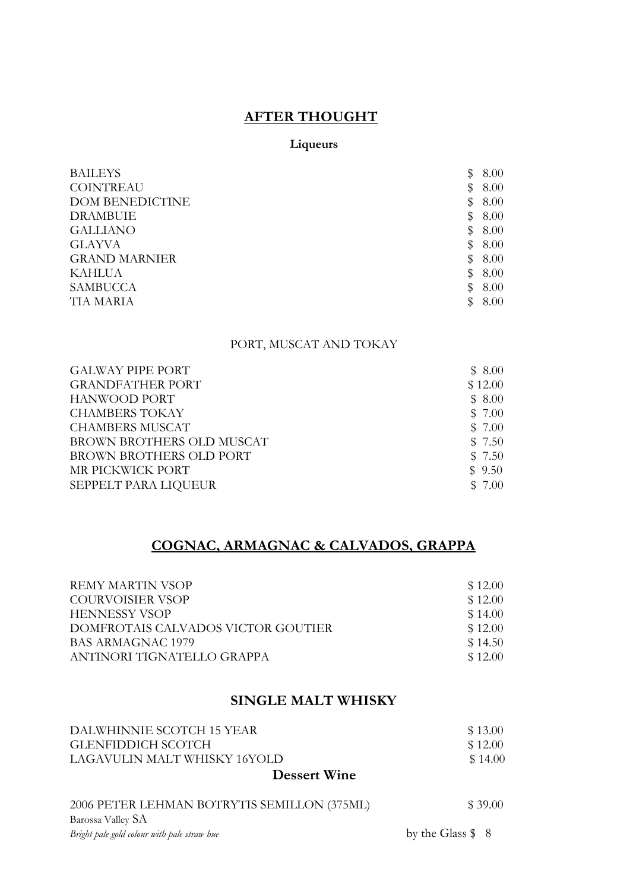## AFTER THOUGHT

### Liqueurs

| <b>BAILEYS</b>         | S  | 8.00 |
|------------------------|----|------|
| <b>COINTREAU</b>       | \$ | 8.00 |
| <b>DOM BENEDICTINE</b> | \$ | 8.00 |
| <b>DRAMBUIE</b>        | S  | 8.00 |
| <b>GALLIANO</b>        | \$ | 8.00 |
| <b>GLAYVA</b>          | \$ | 8.00 |
| <b>GRAND MARNIER</b>   | \$ | 8.00 |
| <b>KAHLUA</b>          | S  | 8.00 |
| <b>SAMBUCCA</b>        | \$ | 8.00 |
| TIA MARIA              | S  | 8.00 |

## PORT, MUSCAT AND TOKAY

| <b>GALWAY PIPE PORT</b>   | \$8.00  |
|---------------------------|---------|
| <b>GRANDFATHER PORT</b>   | \$12.00 |
| HANWOOD PORT              | \$8.00  |
| <b>CHAMBERS TOKAY</b>     | \$7.00  |
| <b>CHAMBERS MUSCAT</b>    | \$7.00  |
| BROWN BROTHERS OLD MUSCAT | \$7.50  |
| BROWN BROTHERS OLD PORT   | \$7.50  |
| MR PICKWICK PORT          | \$9.50  |
| SEPPELT PARA LIQUEUR      | \$7.00  |

# COGNAC, ARMAGNAC & CALVADOS, GRAPPA

| REMY MARTIN VSOP                   | \$12.00 |
|------------------------------------|---------|
| COURVOISIER VSOP                   | \$12.00 |
| <b>HENNESSY VSOP</b>               | \$14.00 |
| DOMFROTAIS CALVADOS VICTOR GOUTIER | \$12.00 |
| BAS ARMAGNAC 1979                  | \$14.50 |
| ANTINORI TIGNATELLO GRAPPA         | \$12.00 |

### SINGLE MALT WHISKY

| <b>Dessert Wine</b>          |         |
|------------------------------|---------|
| LAGAVULIN MALT WHISKY 16YOLD | \$14.00 |
| GLENFIDDICH SCOTCH           | \$12.00 |
| DALWHINNIE SCOTCH 15 YEAR    | \$13.00 |
|                              |         |

| 2006 PETER LEHMAN BOTRYTIS SEMILLON (375ML) | \$39.00              |
|---------------------------------------------|----------------------|
| Barossa Valley SA                           |                      |
| Bright pale gold colour with pale straw hue | by the Glass $\$\ 8$ |